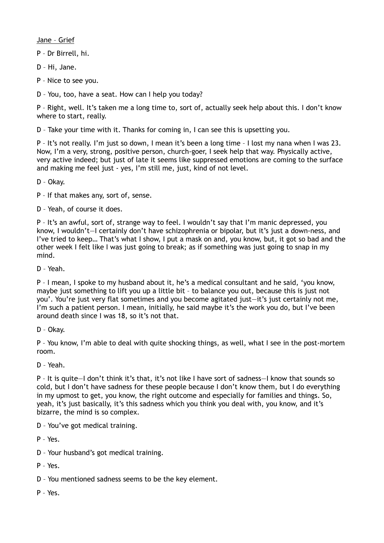Jane – Grief

P – Dr Birrell, hi.

D – Hi, Jane.

P – Nice to see you.

D – You, too, have a seat. How can I help you today?

P – Right, well. It's taken me a long time to, sort of, actually seek help about this. I don't know where to start, really.

D – Take your time with it. Thanks for coming in, I can see this is upsetting you.

P – It's not really. I'm just so down, I mean it's been a long time – I lost my nana when I was 23. Now, I'm a very, strong, positive person, church-goer, I seek help that way. Physically active, very active indeed; but just of late it seems like suppressed emotions are coming to the surface and making me feel just - yes, I'm still me, just, kind of not level.

D – Okay.

P – If that makes any, sort of, sense.

D – Yeah, of course it does.

P – It's an awful, sort of, strange way to feel. I wouldn't say that I'm manic depressed, you know, I wouldn't—I certainly don't have schizophrenia or bipolar, but it's just a down-ness, and I've tried to keep… That's what I show, I put a mask on and, you know, but, it got so bad and the other week I felt like I was just going to break; as if something was just going to snap in my mind.

D – Yeah.

P – I mean, I spoke to my husband about it, he's a medical consultant and he said, 'you know, maybe just something to lift you up a little bit – to balance you out, because this is just not you'. You're just very flat sometimes and you become agitated just—it's just certainly not me, I'm such a patient person. I mean, initially, he said maybe it's the work you do, but I've been around death since I was 18, so it's not that.

D – Okay.

P – You know, I'm able to deal with quite shocking things, as well, what I see in the post-mortem room.

D – Yeah.

P – It is quite—I don't think it's that, it's not like I have sort of sadness—I know that sounds so cold, but I don't have sadness for these people because I don't know them, but I do everything in my upmost to get, you know, the right outcome and especially for families and things. So, yeah, it's just basically, it's this sadness which you think you deal with, you know, and it's bizarre, the mind is so complex.

D – You've got medical training.

P – Yes.

D – Your husband's got medical training.

P – Yes.

D – You mentioned sadness seems to be the key element.

P – Yes.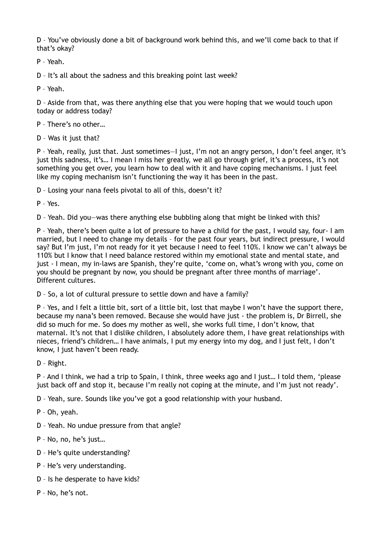D – You've obviously done a bit of background work behind this, and we'll come back to that if that's okay?

P – Yeah.

D – It's all about the sadness and this breaking point last week?

P – Yeah.

D – Aside from that, was there anything else that you were hoping that we would touch upon today or address today?

P – There's no other…

D – Was it just that?

P – Yeah, really, just that. Just sometimes—I just, I'm not an angry person, I don't feel anger, it's just this sadness, it's… I mean I miss her greatly, we all go through grief, it's a process, it's not something you get over, you learn how to deal with it and have coping mechanisms. I just feel like my coping mechanism isn't functioning the way it has been in the past.

D – Losing your nana feels pivotal to all of this, doesn't it?

P – Yes.

D – Yeah. Did you—was there anything else bubbling along that might be linked with this?

P – Yeah, there's been quite a lot of pressure to have a child for the past, I would say, four- I am married, but I need to change my details – for the past four years, but indirect pressure, I would say? But I'm just, I'm not ready for it yet because I need to feel 110%. I know we can't always be 110% but I know that I need balance restored within my emotional state and mental state, and just - I mean, my in-laws are Spanish, they're quite, 'come on, what's wrong with you, come on you should be pregnant by now, you should be pregnant after three months of marriage'. Different cultures.

D – So, a lot of cultural pressure to settle down and have a family?

P – Yes, and I felt a little bit, sort of a little bit, lost that maybe I won't have the support there, because my nana's been removed. Because she would have just - the problem is, Dr Birrell, she did so much for me. So does my mother as well, she works full time, I don't know, that maternal. It's not that I dislike children, I absolutely adore them, I have great relationships with nieces, friend's children… I have animals, I put my energy into my dog, and I just felt, I don't know, I just haven't been ready.

D – Right.

P – And I think, we had a trip to Spain, I think, three weeks ago and I just… I told them, 'please just back off and stop it, because I'm really not coping at the minute, and I'm just not ready'.

D – Yeah, sure. Sounds like you've got a good relationship with your husband.

P – Oh, yeah.

D – Yeah. No undue pressure from that angle?

P – No, no, he's just…

- D He's quite understanding?
- P He's very understanding.
- D Is he desperate to have kids?
- P No, he's not.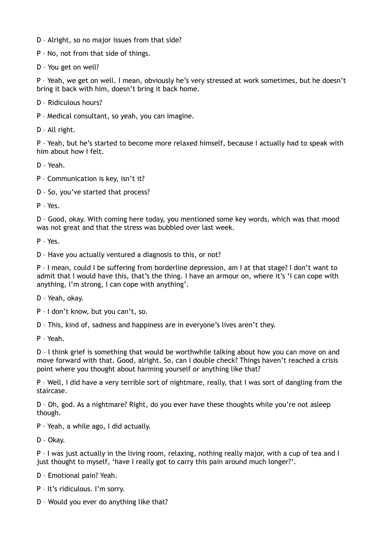- D Alright, so no major issues from that side?
- P No, not from that side of things.
- D You get on well?

P – Yeah, we get on well. I mean, obviously he's very stressed at work sometimes, but he doesn't bring it back with him, doesn't bring it back home.

D – Ridiculous hours?

P – Medical consultant, so yeah, you can imagine.

D – All right.

P – Yeah, but he's started to become more relaxed himself, because I actually had to speak with him about how I felt.

D – Yeah.

- P Communication is key, isn't it?
- D So, you've started that process?

P – Yes.

D – Good, okay. With coming here today, you mentioned some key words, which was that mood was not great and that the stress was bubbled over last week.

P – Yes.

D – Have you actually ventured a diagnosis to this, or not?

P – I mean, could I be suffering from borderline depression, am I at that stage? I don't want to admit that I would have this, that's the thing. I have an armour on, where it's 'I can cope with anything, I'm strong, I can cope with anything'.

D – Yeah, okay.

P – I don't know, but you can't, so.

D – This, kind of, sadness and happiness are in everyone's lives aren't they.

P – Yeah.

D – I think grief is something that would be worthwhile talking about how you can move on and move forward with that. Good, alright. So, can I double check? Things haven't reached a crisis point where you thought about harming yourself or anything like that?

P – Well, I did have a very terrible sort of nightmare, really, that I was sort of dangling from the staircase.

D – Oh, god. As a nightmare? Right, do you ever have these thoughts while you're not asleep though.

P – Yeah, a while ago, I did actually.

D – Okay.

P – I was just actually in the living room, relaxing, nothing really major, with a cup of tea and I just thought to myself, 'have I really got to carry this pain around much longer?'.

D – Emotional pain? Yeah.

P – It's ridiculous. I'm sorry.

D – Would you ever do anything like that?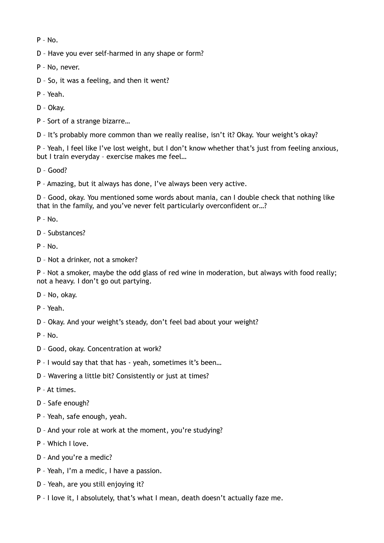P – No.

D – Have you ever self-harmed in any shape or form?

P – No, never.

D – So, it was a feeling, and then it went?

P – Yeah.

D – Okay.

P – Sort of a strange bizarre…

D – It's probably more common than we really realise, isn't it? Okay. Your weight's okay?

P – Yeah, I feel like I've lost weight, but I don't know whether that's just from feeling anxious, but I train everyday – exercise makes me feel…

D – Good?

P – Amazing, but it always has done, I've always been very active.

D – Good, okay. You mentioned some words about mania, can I double check that nothing like that in the family, and you've never felt particularly overconfident or…?

 $P - No.$ 

D – Substances?

 $P - No.$ 

D – Not a drinker, not a smoker?

P – Not a smoker, maybe the odd glass of red wine in moderation, but always with food really; not a heavy. I don't go out partying.

- D No, okay.
- P Yeah.
- D Okay. And your weight's steady, don't feel bad about your weight?

P – No.

- D Good, okay. Concentration at work?
- P I would say that that has yeah, sometimes it's been…
- D Wavering a little bit? Consistently or just at times?
- P At times.
- D Safe enough?
- P Yeah, safe enough, yeah.
- D And your role at work at the moment, you're studying?
- P Which I love.
- D And you're a medic?
- P Yeah, I'm a medic, I have a passion.
- D Yeah, are you still enjoying it?
- P I love it, I absolutely, that's what I mean, death doesn't actually faze me.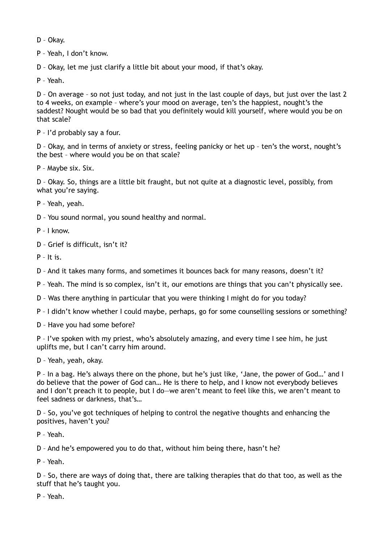D – Okay.

P – Yeah, I don't know.

D – Okay, let me just clarify a little bit about your mood, if that's okay.

P – Yeah.

D – On average – so not just today, and not just in the last couple of days, but just over the last 2 to 4 weeks, on example – where's your mood on average, ten's the happiest, nought's the saddest? Nought would be so bad that you definitely would kill yourself, where would you be on that scale?

P – I'd probably say a four.

D – Okay, and in terms of anxiety or stress, feeling panicky or het up – ten's the worst, nought's the best – where would you be on that scale?

P – Maybe six. Six.

D – Okay. So, things are a little bit fraught, but not quite at a diagnostic level, possibly, from what you're saying.

P – Yeah, yeah.

D – You sound normal, you sound healthy and normal.

P – I know.

D – Grief is difficult, isn't it?

P – It is.

D – And it takes many forms, and sometimes it bounces back for many reasons, doesn't it?

P – Yeah. The mind is so complex, isn't it, our emotions are things that you can't physically see.

D – Was there anything in particular that you were thinking I might do for you today?

P – I didn't know whether I could maybe, perhaps, go for some counselling sessions or something?

D – Have you had some before?

P – I've spoken with my priest, who's absolutely amazing, and every time I see him, he just uplifts me, but I can't carry him around.

D – Yeah, yeah, okay.

P – In a bag. He's always there on the phone, but he's just like, 'Jane, the power of God…' and I do believe that the power of God can… He is there to help, and I know not everybody believes and I don't preach it to people, but I do—we aren't meant to feel like this, we aren't meant to feel sadness or darkness, that's…

D – So, you've got techniques of helping to control the negative thoughts and enhancing the positives, haven't you?

P – Yeah.

D – And he's empowered you to do that, without him being there, hasn't he?

P – Yeah.

D – So, there are ways of doing that, there are talking therapies that do that too, as well as the stuff that he's taught you.

P – Yeah.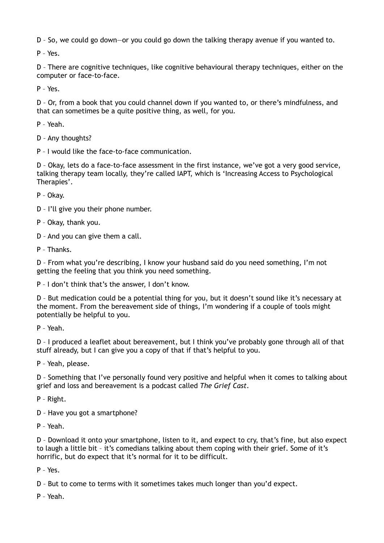D – So, we could go down—or you could go down the talking therapy avenue if you wanted to.

P – Yes.

D – There are cognitive techniques, like cognitive behavioural therapy techniques, either on the computer or face-to-face.

P – Yes.

D – Or, from a book that you could channel down if you wanted to, or there's mindfulness, and that can sometimes be a quite positive thing, as well, for you.

P – Yeah.

D – Any thoughts?

P – I would like the face-to-face communication.

D – Okay, lets do a face-to-face assessment in the first instance, we've got a very good service, talking therapy team locally, they're called IAPT, which is 'Increasing Access to Psychological Therapies'.

P – Okay.

D – I'll give you their phone number.

P – Okay, thank you.

D – And you can give them a call.

P – Thanks.

D – From what you're describing, I know your husband said do you need something, I'm not getting the feeling that you think you need something.

P – I don't think that's the answer, I don't know.

D – But medication could be a potential thing for you, but it doesn't sound like it's necessary at the moment. From the bereavement side of things, I'm wondering if a couple of tools might potentially be helpful to you.

P – Yeah.

D – I produced a leaflet about bereavement, but I think you've probably gone through all of that stuff already, but I can give you a copy of that if that's helpful to you.

P – Yeah, please.

D – Something that I've personally found very positive and helpful when it comes to talking about grief and loss and bereavement is a podcast called *The Grief Cast*.

P – Right.

D – Have you got a smartphone?

P – Yeah.

D – Download it onto your smartphone, listen to it, and expect to cry, that's fine, but also expect to laugh a little bit – it's comedians talking about them coping with their grief. Some of it's horrific, but do expect that it's normal for it to be difficult.

P – Yes.

D – But to come to terms with it sometimes takes much longer than you'd expect.

P – Yeah.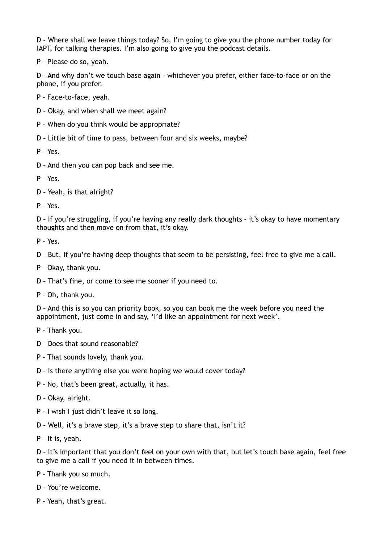D – Where shall we leave things today? So, I'm going to give you the phone number today for IAPT, for talking therapies. I'm also going to give you the podcast details.

P – Please do so, yeah.

D – And why don't we touch base again – whichever you prefer, either face-to-face or on the phone, if you prefer.

P – Face-to-face, yeah.

- D Okay, and when shall we meet again?
- P When do you think would be appropriate?
- D Little bit of time to pass, between four and six weeks, maybe?

P – Yes.

D – And then you can pop back and see me.

P – Yes.

D – Yeah, is that alright?

P – Yes.

D – If you're struggling, if you're having any really dark thoughts – it's okay to have momentary thoughts and then move on from that, it's okay.

P – Yes.

D – But, if you're having deep thoughts that seem to be persisting, feel free to give me a call.

- P Okay, thank you.
- D That's fine, or come to see me sooner if you need to.
- P Oh, thank you.

D – And this is so you can priority book, so you can book me the week before you need the appointment, just come in and say, 'I'd like an appointment for next week'.

- P Thank you.
- D Does that sound reasonable?
- P That sounds lovely, thank you.
- D Is there anything else you were hoping we would cover today?
- P No, that's been great, actually, it has.
- D Okay, alright.
- P I wish I just didn't leave it so long.
- D Well, it's a brave step, it's a brave step to share that, isn't it?
- P It is, yeah.

D – It's important that you don't feel on your own with that, but let's touch base again, feel free to give me a call if you need it in between times.

P – Thank you so much.

D – You're welcome.

P – Yeah, that's great.